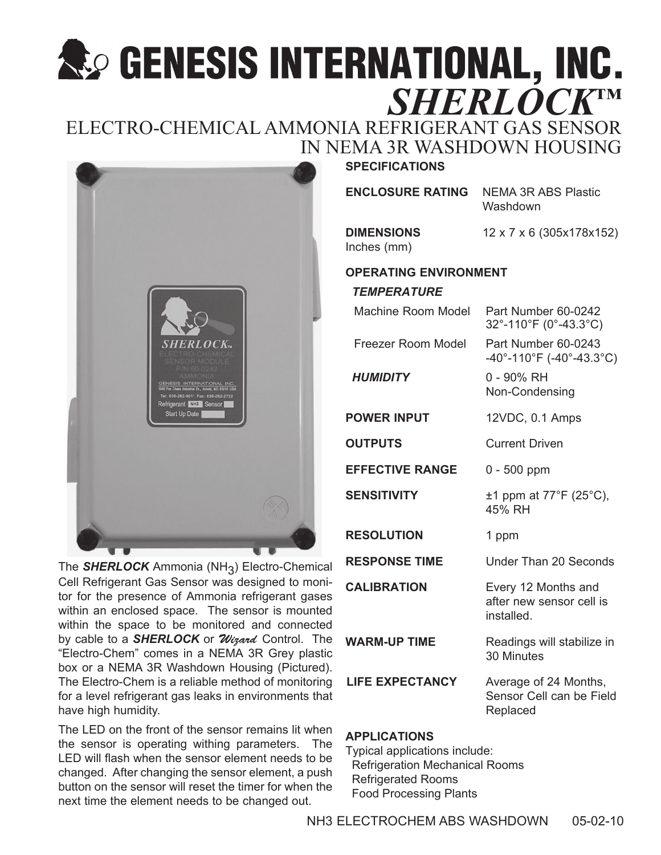# **SEXESS INTERNATIONAL, INC.**<br>*SHERLOCK*™

# ELECTRO-CHEMICAL AMMONIA REFRIGERANT GAS SENSOR IN NEMA 3R WASHDOWN HOUSING



The *SHERLOCK* Ammonia (NH3 ) Electro-Chemical Cell Refrigerant Gas Sensor was designed to monitor for the presence of Ammonia refrigerant gases within an enclosed space. The sensor is mounted within the space to be monitored and connected by cable to a **SHERLOCK** or *Wizard* Control. The "Electro-Chem" comes in a NEMA 3R Grey plastic box or a NEMA 3R Washdown Housing (Pictured). The Electro-Chem is a reliable method of monitoring for a level refrigerant gas leaks in environments that have high humidity.

The LED on the front of the sensor remains lit when the sensor is operating withing parameters. The LED will flash when the sensor element needs to be changed. After changing the sensor element, a push button on the sensor will reset the timer for when the next time the element needs to be changed out.

## **SPECIFICATIONS**

| <b>ENCLOSURE RATING NE</b> |    |
|----------------------------|----|
|                            | Wа |

**MA 3R ABS Plastic** shdown

Inches (mm)

**DIMENSIONS** 12 x 7 x 6 (305x178x152)

### **OPERATING ENVIRONMENT**

### *TEMPERATURE*

| <b>Machine Room Model</b> | Part Number 60-0242<br>32°-110°F (0°-43.3°C)                                               |
|---------------------------|--------------------------------------------------------------------------------------------|
| Freezer Room Model        | Part Number 60-0243<br>$-40^{\circ}$ -110 $^{\circ}$ F (-40 $^{\circ}$ -43.3 $^{\circ}$ C) |
| <b>HUMIDITY</b>           | 0 - 90% RH<br>Non-Condensing                                                               |
| <b>POWER INPUT</b>        | 12VDC, 0.1 Amps                                                                            |
| <b>OUTPUTS</b>            | <b>Current Driven</b>                                                                      |
| <b>EFFECTIVE RANGE</b>    | $0 - 500$ ppm                                                                              |
| SENSITIVITY               | $\pm$ 1 ppm at 77°F (25°C),<br>45% RH                                                      |
| <b>RESOLUTION</b>         | 1 ppm                                                                                      |
| <b>RESPONSE TIME</b>      | <b>Under Than 20 Seconds</b>                                                               |
| <b>CALIBRATION</b>        | Every 12 Months and<br>after new sensor cell is<br>installed.                              |
| <b>WARM-UP TIME</b>       | Readings will stabilize in<br>30 Minutes                                                   |
| <b>LIFE EXPECTANCY</b>    | Average of 24 Months,<br>Sensor Cell can be Field<br>Replaced                              |
|                           |                                                                                            |

### **APPLICATIONS**

Typical applications include: Refrigeration Mechanical Rooms Refrigerated Rooms Food Processing Plants